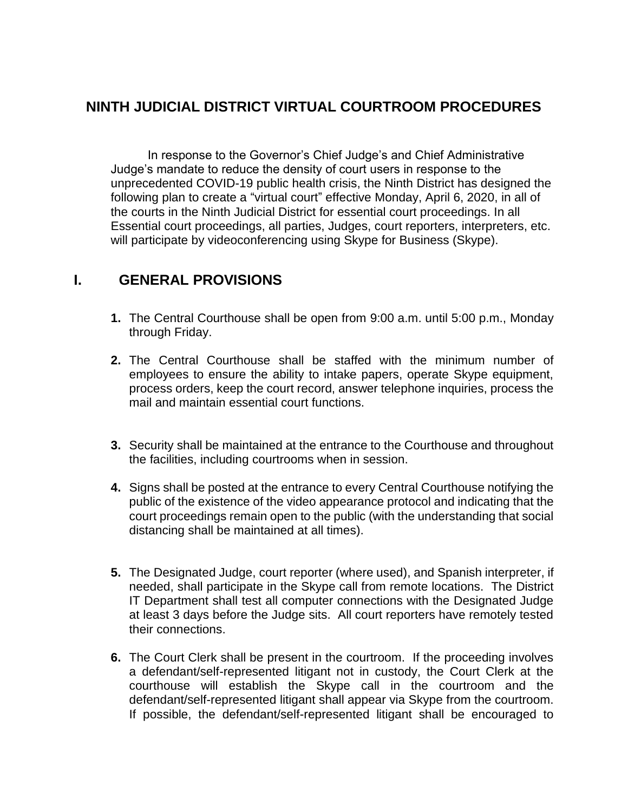## **NINTH JUDICIAL DISTRICT VIRTUAL COURTROOM PROCEDURES**

In response to the Governor's Chief Judge's and Chief Administrative Judge's mandate to reduce the density of court users in response to the unprecedented COVID-19 public health crisis, the Ninth District has designed the following plan to create a "virtual court" effective Monday, April 6, 2020, in all of the courts in the Ninth Judicial District for essential court proceedings. In all Essential court proceedings, all parties, Judges, court reporters, interpreters, etc. will participate by videoconferencing using Skype for Business (Skype).

## **I. GENERAL PROVISIONS**

- **1.** The Central Courthouse shall be open from 9:00 a.m. until 5:00 p.m., Monday through Friday.
- **2.** The Central Courthouse shall be staffed with the minimum number of employees to ensure the ability to intake papers, operate Skype equipment, process orders, keep the court record, answer telephone inquiries, process the mail and maintain essential court functions.
- **3.** Security shall be maintained at the entrance to the Courthouse and throughout the facilities, including courtrooms when in session.
- **4.** Signs shall be posted at the entrance to every Central Courthouse notifying the public of the existence of the video appearance protocol and indicating that the court proceedings remain open to the public (with the understanding that social distancing shall be maintained at all times).
- **5.** The Designated Judge, court reporter (where used), and Spanish interpreter, if needed, shall participate in the Skype call from remote locations. The District IT Department shall test all computer connections with the Designated Judge at least 3 days before the Judge sits. All court reporters have remotely tested their connections.
- **6.** The Court Clerk shall be present in the courtroom. If the proceeding involves a defendant/self-represented litigant not in custody, the Court Clerk at the courthouse will establish the Skype call in the courtroom and the defendant/self-represented litigant shall appear via Skype from the courtroom. If possible, the defendant/self-represented litigant shall be encouraged to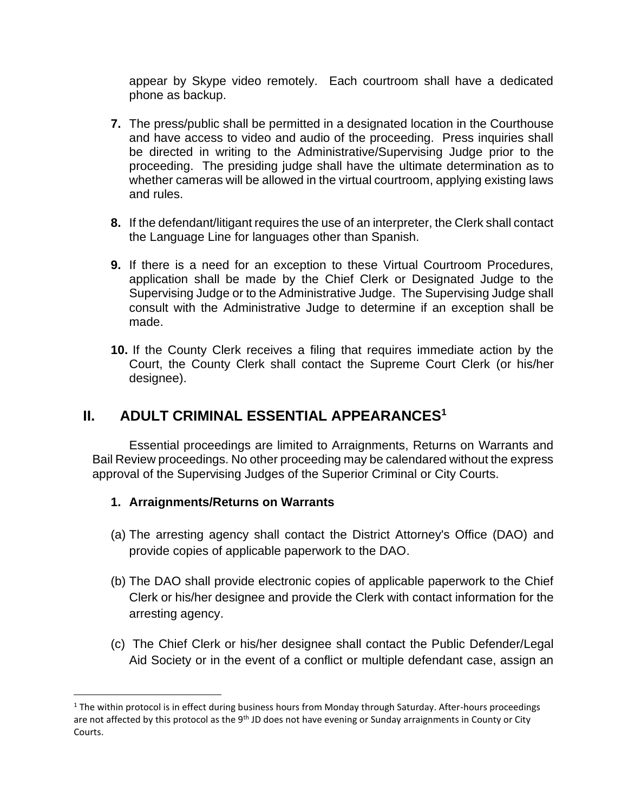appear by Skype video remotely. Each courtroom shall have a dedicated phone as backup.

- **7.** The press/public shall be permitted in a designated location in the Courthouse and have access to video and audio of the proceeding. Press inquiries shall be directed in writing to the Administrative/Supervising Judge prior to the proceeding. The presiding judge shall have the ultimate determination as to whether cameras will be allowed in the virtual courtroom, applying existing laws and rules.
- **8.** If the defendant/litigant requires the use of an interpreter, the Clerk shall contact the Language Line for languages other than Spanish.
- **9.** If there is a need for an exception to these Virtual Courtroom Procedures, application shall be made by the Chief Clerk or Designated Judge to the Supervising Judge or to the Administrative Judge. The Supervising Judge shall consult with the Administrative Judge to determine if an exception shall be made.
- **10.** If the County Clerk receives a filing that requires immediate action by the Court, the County Clerk shall contact the Supreme Court Clerk (or his/her designee).

## **II. ADULT CRIMINAL ESSENTIAL APPEARANCES<sup>1</sup>**

Essential proceedings are limited to Arraignments, Returns on Warrants and Bail Review proceedings. No other proceeding may be calendared without the express approval of the Supervising Judges of the Superior Criminal or City Courts.

## **1. Arraignments/Returns on Warrants**

- (a) The arresting agency shall contact the District Attorney's Office (DAO) and provide copies of applicable paperwork to the DAO.
- (b) The DAO shall provide electronic copies of applicable paperwork to the Chief Clerk or his/her designee and provide the Clerk with contact information for the arresting agency.
- (c) The Chief Clerk or his/her designee shall contact the Public Defender/Legal Aid Society or in the event of a conflict or multiple defendant case, assign an

 $1$  The within protocol is in effect during business hours from Monday through Saturday. After-hours proceedings are not affected by this protocol as the 9<sup>th</sup> JD does not have evening or Sunday arraignments in County or City Courts.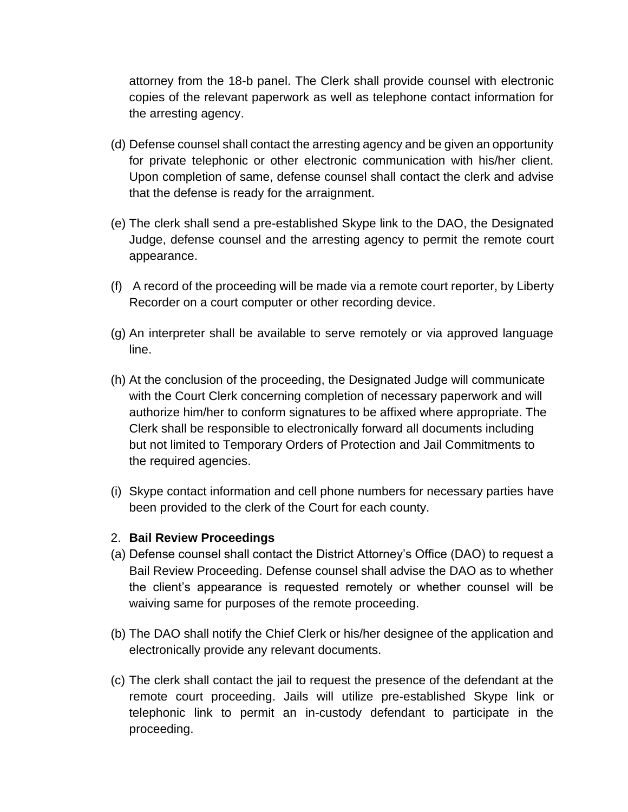attorney from the 18-b panel. The Clerk shall provide counsel with electronic copies of the relevant paperwork as well as telephone contact information for the arresting agency.

- (d) Defense counsel shall contact the arresting agency and be given an opportunity for private telephonic or other electronic communication with his/her client. Upon completion of same, defense counsel shall contact the clerk and advise that the defense is ready for the arraignment.
- (e) The clerk shall send a pre-established Skype link to the DAO, the Designated Judge, defense counsel and the arresting agency to permit the remote court appearance.
- (f) A record of the proceeding will be made via a remote court reporter, by Liberty Recorder on a court computer or other recording device.
- (g) An interpreter shall be available to serve remotely or via approved language line.
- (h) At the conclusion of the proceeding, the Designated Judge will communicate with the Court Clerk concerning completion of necessary paperwork and will authorize him/her to conform signatures to be affixed where appropriate. The Clerk shall be responsible to electronically forward all documents including but not limited to Temporary Orders of Protection and Jail Commitments to the required agencies.
- (i) Skype contact information and cell phone numbers for necessary parties have been provided to the clerk of the Court for each county.

#### 2. **Bail Review Proceedings**

- (a) Defense counsel shall contact the District Attorney's Office (DAO) to request a Bail Review Proceeding. Defense counsel shall advise the DAO as to whether the client's appearance is requested remotely or whether counsel will be waiving same for purposes of the remote proceeding.
- (b) The DAO shall notify the Chief Clerk or his/her designee of the application and electronically provide any relevant documents.
- (c) The clerk shall contact the jail to request the presence of the defendant at the remote court proceeding. Jails will utilize pre-established Skype link or telephonic link to permit an in-custody defendant to participate in the proceeding.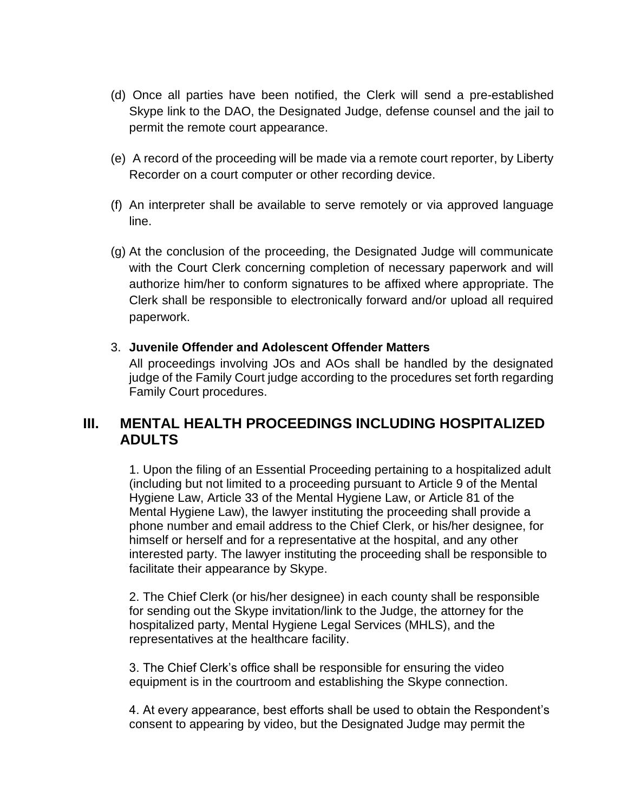- (d) Once all parties have been notified, the Clerk will send a pre-established Skype link to the DAO, the Designated Judge, defense counsel and the jail to permit the remote court appearance.
- (e) A record of the proceeding will be made via a remote court reporter, by Liberty Recorder on a court computer or other recording device.
- (f) An interpreter shall be available to serve remotely or via approved language line.
- (g) At the conclusion of the proceeding, the Designated Judge will communicate with the Court Clerk concerning completion of necessary paperwork and will authorize him/her to conform signatures to be affixed where appropriate. The Clerk shall be responsible to electronically forward and/or upload all required paperwork.

#### 3. **Juvenile Offender and Adolescent Offender Matters**

All proceedings involving JOs and AOs shall be handled by the designated judge of the Family Court judge according to the procedures set forth regarding Family Court procedures.

## **III. MENTAL HEALTH PROCEEDINGS INCLUDING HOSPITALIZED ADULTS**

1. Upon the filing of an Essential Proceeding pertaining to a hospitalized adult (including but not limited to a proceeding pursuant to Article 9 of the Mental Hygiene Law, Article 33 of the Mental Hygiene Law, or Article 81 of the Mental Hygiene Law), the lawyer instituting the proceeding shall provide a phone number and email address to the Chief Clerk, or his/her designee, for himself or herself and for a representative at the hospital, and any other interested party. The lawyer instituting the proceeding shall be responsible to facilitate their appearance by Skype.

2. The Chief Clerk (or his/her designee) in each county shall be responsible for sending out the Skype invitation/link to the Judge, the attorney for the hospitalized party, Mental Hygiene Legal Services (MHLS), and the representatives at the healthcare facility.

3. The Chief Clerk's office shall be responsible for ensuring the video equipment is in the courtroom and establishing the Skype connection.

4. At every appearance, best efforts shall be used to obtain the Respondent's consent to appearing by video, but the Designated Judge may permit the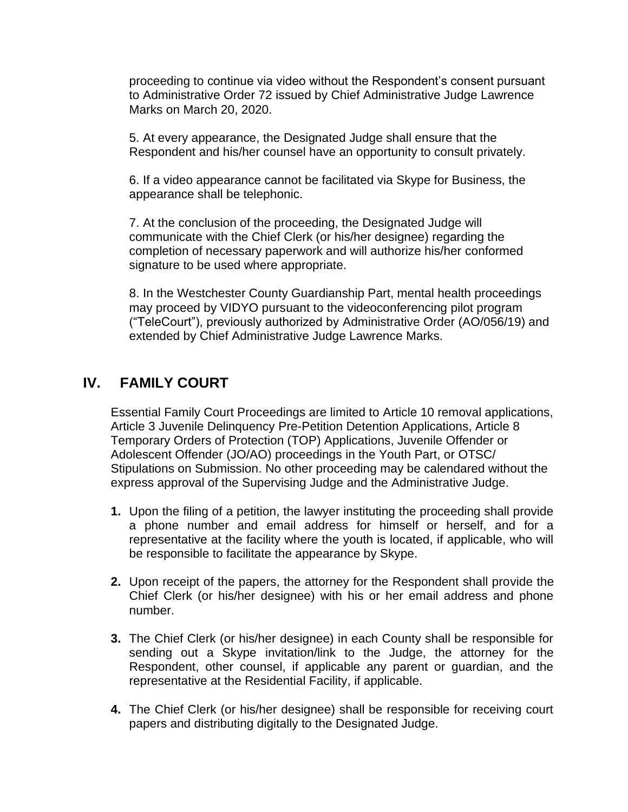proceeding to continue via video without the Respondent's consent pursuant to Administrative Order 72 issued by Chief Administrative Judge Lawrence Marks on March 20, 2020.

5. At every appearance, the Designated Judge shall ensure that the Respondent and his/her counsel have an opportunity to consult privately.

6. If a video appearance cannot be facilitated via Skype for Business, the appearance shall be telephonic.

7. At the conclusion of the proceeding, the Designated Judge will communicate with the Chief Clerk (or his/her designee) regarding the completion of necessary paperwork and will authorize his/her conformed signature to be used where appropriate.

8. In the Westchester County Guardianship Part, mental health proceedings may proceed by VIDYO pursuant to the videoconferencing pilot program ("TeleCourt"), previously authorized by Administrative Order (AO/056/19) and extended by Chief Administrative Judge Lawrence Marks.

## **IV. FAMILY COURT**

Essential Family Court Proceedings are limited to Article 10 removal applications, Article 3 Juvenile Delinquency Pre-Petition Detention Applications, Article 8 Temporary Orders of Protection (TOP) Applications, Juvenile Offender or Adolescent Offender (JO/AO) proceedings in the Youth Part, or OTSC/ Stipulations on Submission. No other proceeding may be calendared without the express approval of the Supervising Judge and the Administrative Judge.

- **1.** Upon the filing of a petition, the lawyer instituting the proceeding shall provide a phone number and email address for himself or herself, and for a representative at the facility where the youth is located, if applicable, who will be responsible to facilitate the appearance by Skype.
- **2.** Upon receipt of the papers, the attorney for the Respondent shall provide the Chief Clerk (or his/her designee) with his or her email address and phone number.
- **3.** The Chief Clerk (or his/her designee) in each County shall be responsible for sending out a Skype invitation/link to the Judge, the attorney for the Respondent, other counsel, if applicable any parent or guardian, and the representative at the Residential Facility, if applicable.
- **4.** The Chief Clerk (or his/her designee) shall be responsible for receiving court papers and distributing digitally to the Designated Judge.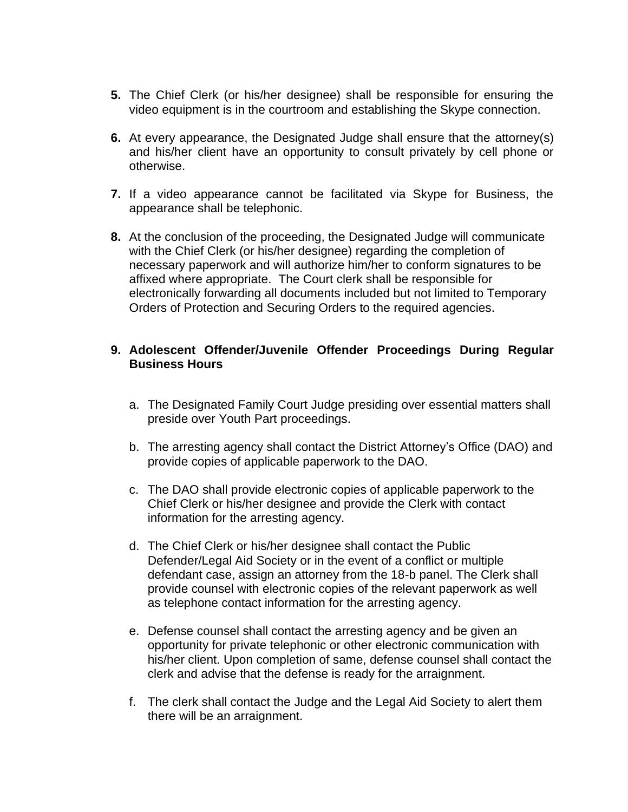- **5.** The Chief Clerk (or his/her designee) shall be responsible for ensuring the video equipment is in the courtroom and establishing the Skype connection.
- **6.** At every appearance, the Designated Judge shall ensure that the attorney(s) and his/her client have an opportunity to consult privately by cell phone or otherwise.
- **7.** If a video appearance cannot be facilitated via Skype for Business, the appearance shall be telephonic.
- **8.** At the conclusion of the proceeding, the Designated Judge will communicate with the Chief Clerk (or his/her designee) regarding the completion of necessary paperwork and will authorize him/her to conform signatures to be affixed where appropriate. The Court clerk shall be responsible for electronically forwarding all documents included but not limited to Temporary Orders of Protection and Securing Orders to the required agencies.

#### **9. Adolescent Offender/Juvenile Offender Proceedings During Regular Business Hours**

- a. The Designated Family Court Judge presiding over essential matters shall preside over Youth Part proceedings.
- b. The arresting agency shall contact the District Attorney's Office (DAO) and provide copies of applicable paperwork to the DAO.
- c. The DAO shall provide electronic copies of applicable paperwork to the Chief Clerk or his/her designee and provide the Clerk with contact information for the arresting agency.
- d. The Chief Clerk or his/her designee shall contact the Public Defender/Legal Aid Society or in the event of a conflict or multiple defendant case, assign an attorney from the 18-b panel. The Clerk shall provide counsel with electronic copies of the relevant paperwork as well as telephone contact information for the arresting agency.
- e. Defense counsel shall contact the arresting agency and be given an opportunity for private telephonic or other electronic communication with his/her client. Upon completion of same, defense counsel shall contact the clerk and advise that the defense is ready for the arraignment.
- f. The clerk shall contact the Judge and the Legal Aid Society to alert them there will be an arraignment.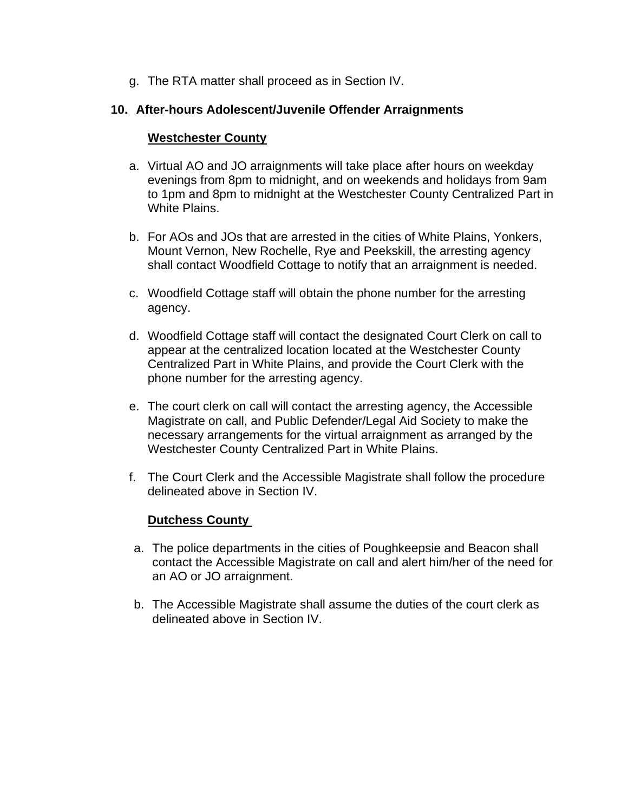g. The RTA matter shall proceed as in Section IV.

#### **10. After-hours Adolescent/Juvenile Offender Arraignments**

#### **Westchester County**

- a. Virtual AO and JO arraignments will take place after hours on weekday evenings from 8pm to midnight, and on weekends and holidays from 9am to 1pm and 8pm to midnight at the Westchester County Centralized Part in White Plains.
- b. For AOs and JOs that are arrested in the cities of White Plains, Yonkers, Mount Vernon, New Rochelle, Rye and Peekskill, the arresting agency shall contact Woodfield Cottage to notify that an arraignment is needed.
- c. Woodfield Cottage staff will obtain the phone number for the arresting agency.
- d. Woodfield Cottage staff will contact the designated Court Clerk on call to appear at the centralized location located at the Westchester County Centralized Part in White Plains, and provide the Court Clerk with the phone number for the arresting agency.
- e. The court clerk on call will contact the arresting agency, the Accessible Magistrate on call, and Public Defender/Legal Aid Society to make the necessary arrangements for the virtual arraignment as arranged by the Westchester County Centralized Part in White Plains.
- f. The Court Clerk and the Accessible Magistrate shall follow the procedure delineated above in Section IV.

#### **Dutchess County**

- a. The police departments in the cities of Poughkeepsie and Beacon shall contact the Accessible Magistrate on call and alert him/her of the need for an AO or JO arraignment.
- b. The Accessible Magistrate shall assume the duties of the court clerk as delineated above in Section IV.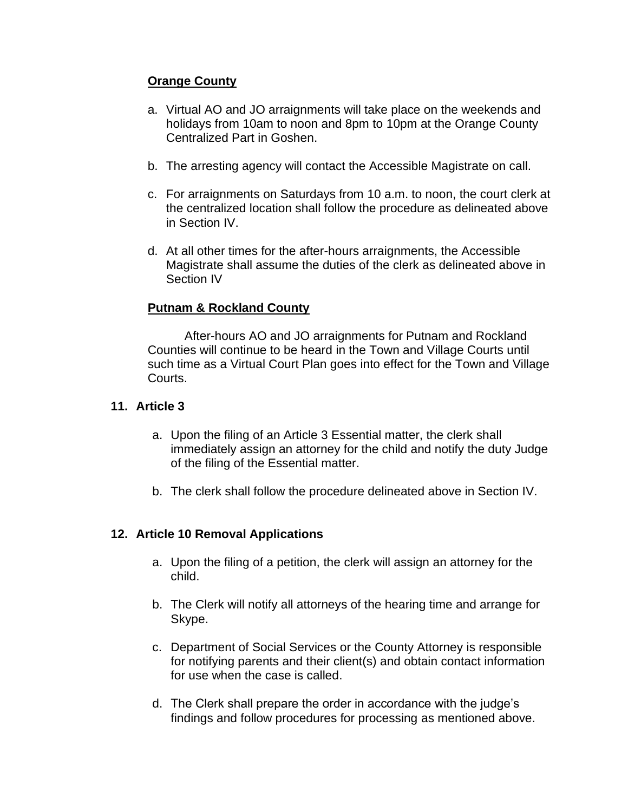## **Orange County**

- a. Virtual AO and JO arraignments will take place on the weekends and holidays from 10am to noon and 8pm to 10pm at the Orange County Centralized Part in Goshen.
- b. The arresting agency will contact the Accessible Magistrate on call.
- c. For arraignments on Saturdays from 10 a.m. to noon, the court clerk at the centralized location shall follow the procedure as delineated above in Section IV.
- d. At all other times for the after-hours arraignments, the Accessible Magistrate shall assume the duties of the clerk as delineated above in Section IV

#### **Putnam & Rockland County**

After-hours AO and JO arraignments for Putnam and Rockland Counties will continue to be heard in the Town and Village Courts until such time as a Virtual Court Plan goes into effect for the Town and Village Courts.

#### **11. Article 3**

- a. Upon the filing of an Article 3 Essential matter, the clerk shall immediately assign an attorney for the child and notify the duty Judge of the filing of the Essential matter.
- b. The clerk shall follow the procedure delineated above in Section IV.

#### **12. Article 10 Removal Applications**

- a. Upon the filing of a petition, the clerk will assign an attorney for the child.
- b. The Clerk will notify all attorneys of the hearing time and arrange for Skype.
- c. Department of Social Services or the County Attorney is responsible for notifying parents and their client(s) and obtain contact information for use when the case is called.
- d. The Clerk shall prepare the order in accordance with the judge's findings and follow procedures for processing as mentioned above.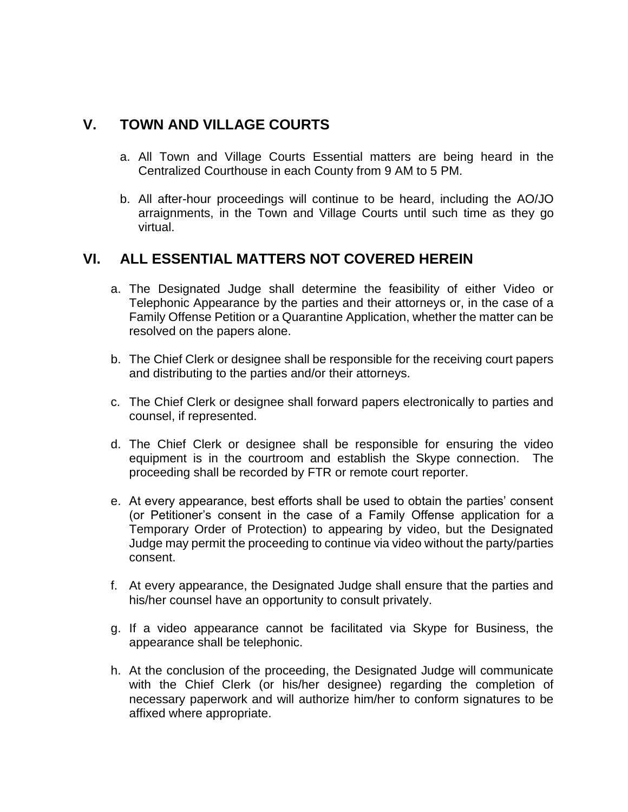## **V. TOWN AND VILLAGE COURTS**

- a. All Town and Village Courts Essential matters are being heard in the Centralized Courthouse in each County from 9 AM to 5 PM.
- b. All after-hour proceedings will continue to be heard, including the AO/JO arraignments, in the Town and Village Courts until such time as they go virtual.

# **VI. ALL ESSENTIAL MATTERS NOT COVERED HEREIN**

- a. The Designated Judge shall determine the feasibility of either Video or Telephonic Appearance by the parties and their attorneys or, in the case of a Family Offense Petition or a Quarantine Application, whether the matter can be resolved on the papers alone.
- b. The Chief Clerk or designee shall be responsible for the receiving court papers and distributing to the parties and/or their attorneys.
- c. The Chief Clerk or designee shall forward papers electronically to parties and counsel, if represented.
- d. The Chief Clerk or designee shall be responsible for ensuring the video equipment is in the courtroom and establish the Skype connection. The proceeding shall be recorded by FTR or remote court reporter.
- e. At every appearance, best efforts shall be used to obtain the parties' consent (or Petitioner's consent in the case of a Family Offense application for a Temporary Order of Protection) to appearing by video, but the Designated Judge may permit the proceeding to continue via video without the party/parties consent.
- f. At every appearance, the Designated Judge shall ensure that the parties and his/her counsel have an opportunity to consult privately.
- g. If a video appearance cannot be facilitated via Skype for Business, the appearance shall be telephonic.
- h. At the conclusion of the proceeding, the Designated Judge will communicate with the Chief Clerk (or his/her designee) regarding the completion of necessary paperwork and will authorize him/her to conform signatures to be affixed where appropriate.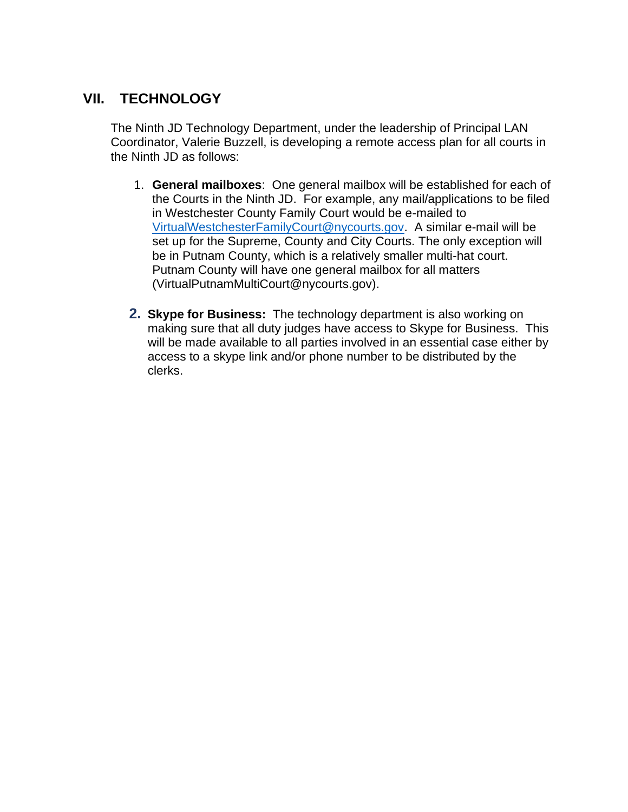# **VII. TECHNOLOGY**

The Ninth JD Technology Department, under the leadership of Principal LAN Coordinator, Valerie Buzzell, is developing a remote access plan for all courts in the Ninth JD as follows:

- 1. **General mailboxes**: One general mailbox will be established for each of the Courts in the Ninth JD. For example, any mail/applications to be filed in Westchester County Family Court would be e-mailed to [VirtualWestchesterFamilyCourt@nycourts.gov.](mailto:VirtualWestchesterFamilyCourt@nycourts.gov) A similar e-mail will be set up for the Supreme, County and City Courts. The only exception will be in Putnam County, which is a relatively smaller multi-hat court. Putnam County will have one general mailbox for all matters (VirtualPutnamMultiCourt@nycourts.gov).
- **2. Skype for Business:** The technology department is also working on making sure that all duty judges have access to Skype for Business. This will be made available to all parties involved in an essential case either by access to a skype link and/or phone number to be distributed by the clerks.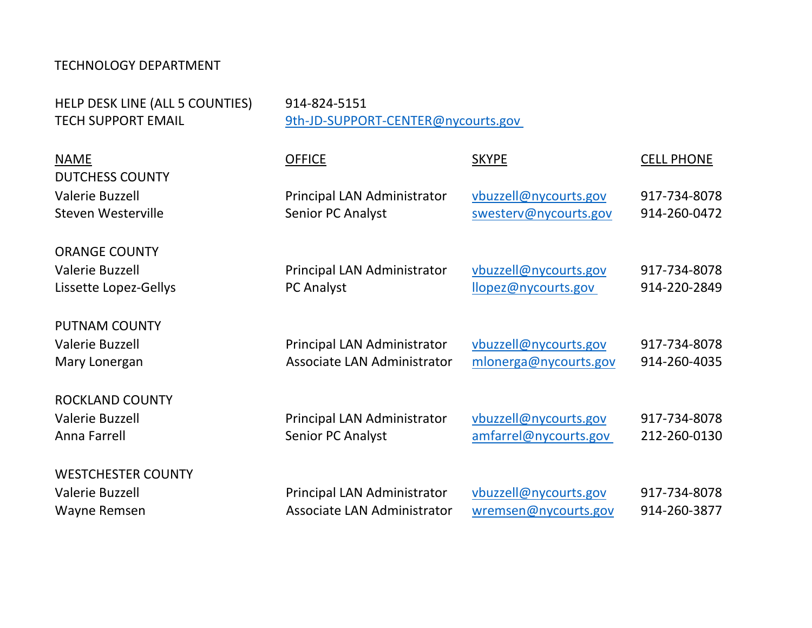## TECHNOLOGY DEPARTMENT

HELP DESK LINE (ALL 5 COUNTIES) 914-824-5151

TECH SUPPORT EMAIL 9th-JD-SUPPORT-CENTER@nycourts.gov

| <b>NAME</b><br><b>DUTCHESS COUNTY</b>                                   | <b>OFFICE</b>                                              | <b>SKYPE</b>                                   | <b>CELL PHONE</b>            |
|-------------------------------------------------------------------------|------------------------------------------------------------|------------------------------------------------|------------------------------|
| <b>Valerie Buzzell</b><br>Steven Westerville                            | Principal LAN Administrator<br>Senior PC Analyst           | vbuzzell@nycourts.gov<br>swesterv@nycourts.gov | 917-734-8078<br>914-260-0472 |
| <b>ORANGE COUNTY</b><br><b>Valerie Buzzell</b><br>Lissette Lopez-Gellys | Principal LAN Administrator<br>PC Analyst                  | vbuzzell@nycourts.gov<br>llopez@nycourts.gov   | 917-734-8078<br>914-220-2849 |
| <b>PUTNAM COUNTY</b><br><b>Valerie Buzzell</b><br>Mary Lonergan         | Principal LAN Administrator<br>Associate LAN Administrator | vbuzzell@nycourts.gov<br>mlonerga@nycourts.gov | 917-734-8078<br>914-260-4035 |
| <b>ROCKLAND COUNTY</b><br>Valerie Buzzell<br>Anna Farrell               | Principal LAN Administrator<br>Senior PC Analyst           | vbuzzell@nycourts.gov<br>amfarrel@nycourts.gov | 917-734-8078<br>212-260-0130 |
| <b>WESTCHESTER COUNTY</b><br><b>Valerie Buzzell</b><br>Wayne Remsen     | Principal LAN Administrator<br>Associate LAN Administrator | vbuzzell@nycourts.gov<br>wremsen@nycourts.gov  | 917-734-8078<br>914-260-3877 |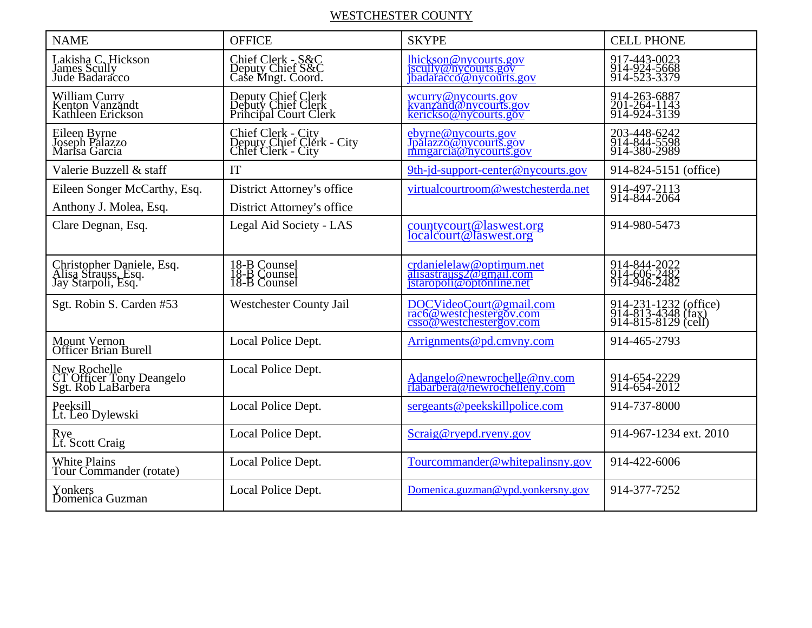## WESTCHESTER COUNTY

| <b>NAME</b>                                                            | <b>OFFICE</b>                                                         | <b>SKYPE</b>                                                                    | <b>CELL PHONE</b>                                                  |
|------------------------------------------------------------------------|-----------------------------------------------------------------------|---------------------------------------------------------------------------------|--------------------------------------------------------------------|
| Lakisha C. Hickson<br>James Scully<br>Jude Badaracco                   | Chief Clerk - S&C<br>Deputy Chief S&C<br>Case Mngt. Coord.            | lhickson@nycourts.gov<br>jscully@nycourts.gov<br>ibadaracco@nycourts.gov        | 917-443-0023<br>914-924-5668<br>914-523-3379                       |
| William Curry<br>Kenton Vanzandt<br>Kathleen Erickson                  | Deputy Chief Clerk<br>Deputy Chief Clerk<br>Principal Court Clerk     | weurry@nycourts.gov<br>kvanzand@nycourts.gov<br>kerickso@nycourts.gov           | 914-263-6887<br>201-264-1143<br>914-924-3139                       |
| Eileen Byrne<br>Joseph Palazzo<br>Marisa Garcia                        | Chief Clerk - City<br>Deputy Chief Clerk - City<br>Chief Clerk - City | ebyrne@nycourts.gov<br>Jpálazzo@nycourts.gov<br>mmgarcia@nycourts.gov           | 203-448-6242<br>914-844-5598<br>914-380-2989                       |
| Valerie Buzzell & staff                                                | IT                                                                    | 9th-jd-support-center@nycourts.gov                                              | 914-824-5151 (office)                                              |
| Eileen Songer McCarthy, Esq.<br>Anthony J. Molea, Esq.                 | District Attorney's office<br>District Attorney's office              | virtualcourtroom@westchesterda.net                                              | 914-497-2113<br>914-844-2064                                       |
| Clare Degnan, Esq.                                                     | Legal Aid Society - LAS                                               | countycourt@laswest.org<br>localcourt@laswest.org                               | 914-980-5473                                                       |
| Christopher Daniele, Esq.<br>Alisa Strauss, Esq.<br>Jay Starpoli, Esq. | 18-B Counsel<br>18-B Counsel<br>18-B Counsel                          | crdanielelaw@optimum.net<br>alisastrauss2@gmail.com<br>istaropoli@optonline.net | 914-844-2022<br>914-606-2482<br>914-946-2482                       |
| Sgt. Robin S. Carden #53                                               | <b>Westchester County Jail</b>                                        | DOCVideoCourt@gmail.com<br>rac6@westchestergov.com                              | 914-231-1232 (office)<br>914-813-4348 (fax)<br>914-815-8129 (cell) |
| Mount Vernon<br>Officer Brian Burell                                   | Local Police Dept.                                                    | Arrignments@pd.cmvny.com                                                        | 914-465-2793                                                       |
| New Rochelle<br>CT Officer Tony Deangelo<br>Sgt. Rob LaBarbera         | Local Police Dept.                                                    | Adangelo@newrochelle@ny.com<br>rlabarbera@newrochelleny.com                     | 914-654-2229<br>914-654-2012                                       |
| Peeksill<br>Lt. Leo Dylewski                                           | Local Police Dept.                                                    | sergeants@peekskillpolice.com                                                   | 914-737-8000                                                       |
| Rye<br>Lt. Scott Craig                                                 | Local Police Dept.                                                    | Scraig@ryepd.ryeny.gov                                                          | 914-967-1234 ext. 2010                                             |
| White Plains<br>Tour Commander (rotate)                                | Local Police Dept.                                                    | Tourcommander@whitepalinsny.gov                                                 | 914-422-6006                                                       |
| Yonkers<br>Domenica Guzman                                             | Local Police Dept.                                                    | Domenica.guzman@ypd.yonkersny.gov                                               | 914-377-7252                                                       |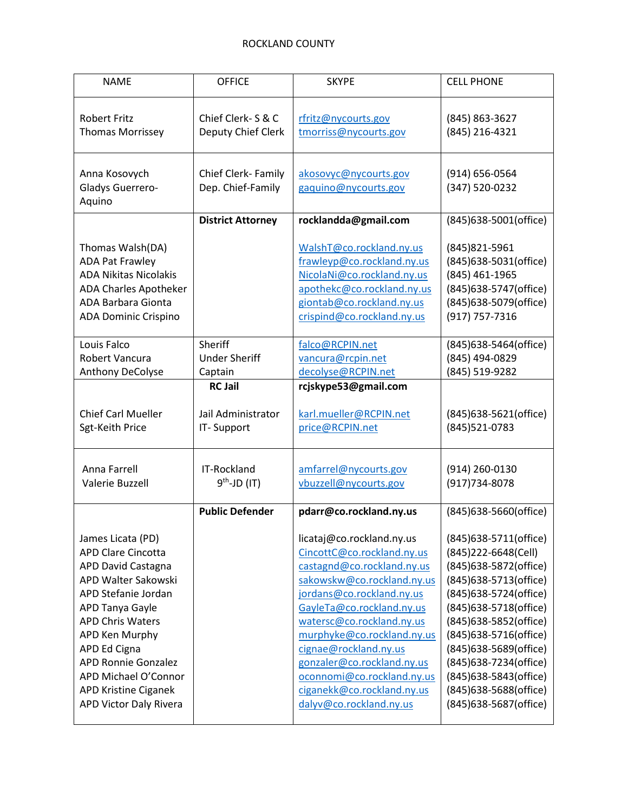| Chief Clerk- S & C       | rfritz@nycourts.gov                                                                                                                                                                                                                                                                                                                                         | (845) 863-3627                                                                                                                                                                                                                                                                                                                                           |
|--------------------------|-------------------------------------------------------------------------------------------------------------------------------------------------------------------------------------------------------------------------------------------------------------------------------------------------------------------------------------------------------------|----------------------------------------------------------------------------------------------------------------------------------------------------------------------------------------------------------------------------------------------------------------------------------------------------------------------------------------------------------|
| Deputy Chief Clerk       | tmorriss@nycourts.gov                                                                                                                                                                                                                                                                                                                                       | (845) 216-4321                                                                                                                                                                                                                                                                                                                                           |
| Chief Clerk-Family       | akosovyc@nycourts.gov                                                                                                                                                                                                                                                                                                                                       | (914) 656-0564                                                                                                                                                                                                                                                                                                                                           |
| Dep. Chief-Family        | gaquino@nycourts.gov                                                                                                                                                                                                                                                                                                                                        | (347) 520-0232                                                                                                                                                                                                                                                                                                                                           |
| <b>District Attorney</b> | rocklandda@gmail.com                                                                                                                                                                                                                                                                                                                                        | (845)638-5001(office)                                                                                                                                                                                                                                                                                                                                    |
|                          | WalshT@co.rockland.ny.us<br>frawleyp@co.rockland.ny.us<br>NicolaNi@co.rockland.ny.us<br>apothekc@co.rockland.ny.us<br>giontab@co.rockland.ny.us<br>crispind@co.rockland.ny.us                                                                                                                                                                               | (845) 821-5961<br>(845)638-5031(office)<br>(845) 461-1965<br>(845)638-5747(office)<br>(845)638-5079(office)<br>(917) 757-7316                                                                                                                                                                                                                            |
| Sheriff                  | falco@RCPIN.net                                                                                                                                                                                                                                                                                                                                             | (845)638-5464(office)                                                                                                                                                                                                                                                                                                                                    |
| <b>Under Sheriff</b>     | vancura@rcpin.net                                                                                                                                                                                                                                                                                                                                           | (845) 494-0829                                                                                                                                                                                                                                                                                                                                           |
| Captain                  | decolyse@RCPIN.net                                                                                                                                                                                                                                                                                                                                          | (845) 519-9282                                                                                                                                                                                                                                                                                                                                           |
| Jail Administrator       | karl.mueller@RCPIN.net                                                                                                                                                                                                                                                                                                                                      | (845)638-5621(office)                                                                                                                                                                                                                                                                                                                                    |
| IT-Support               | price@RCPIN.net                                                                                                                                                                                                                                                                                                                                             | (845) 521-0783                                                                                                                                                                                                                                                                                                                                           |
| IT-Rockland              | amfarrel@nycourts.gov                                                                                                                                                                                                                                                                                                                                       | (914) 260-0130                                                                                                                                                                                                                                                                                                                                           |
| $9th-JD$ (IT)            | vbuzzell@nycourts.gov                                                                                                                                                                                                                                                                                                                                       | (917) 734-8078                                                                                                                                                                                                                                                                                                                                           |
|                          | licataj@co.rockland.ny.us<br>CincottC@co.rockland.ny.us<br>castagnd@co.rockland.ny.us<br>sakowskw@co.rockland.ny.us<br>jordans@co.rockland.ny.us<br>GayleTa@co.rockland.ny.us<br>watersc@co.rockland.ny.us<br>murphyke@co.rockland.ny.us<br>cignae@rockland.ny.us<br>gonzaler@co.rockland.ny.us<br>oconnomi@co.rockland.ny.us<br>ciganekk@co.rockland.ny.us | (845)638-5660(office)<br>(845)638-5711(office)<br>(845)222-6648(Cell)<br>(845)638-5872(office)<br>(845)638-5713(office)<br>(845)638-5724(office)<br>(845)638-5718(office)<br>(845)638-5852(office)<br>(845)638-5716(office)<br>(845)638-5689(office)<br>(845)638-7234(office)<br>(845)638-5843(office)<br>(845)638-5688(office)<br>(845)638-5687(office) |
|                          | <b>RC Jail</b><br><b>Public Defender</b>                                                                                                                                                                                                                                                                                                                    | rcjskype53@gmail.com<br>pdarr@co.rockland.ny.us<br>dalyv@co.rockland.ny.us                                                                                                                                                                                                                                                                               |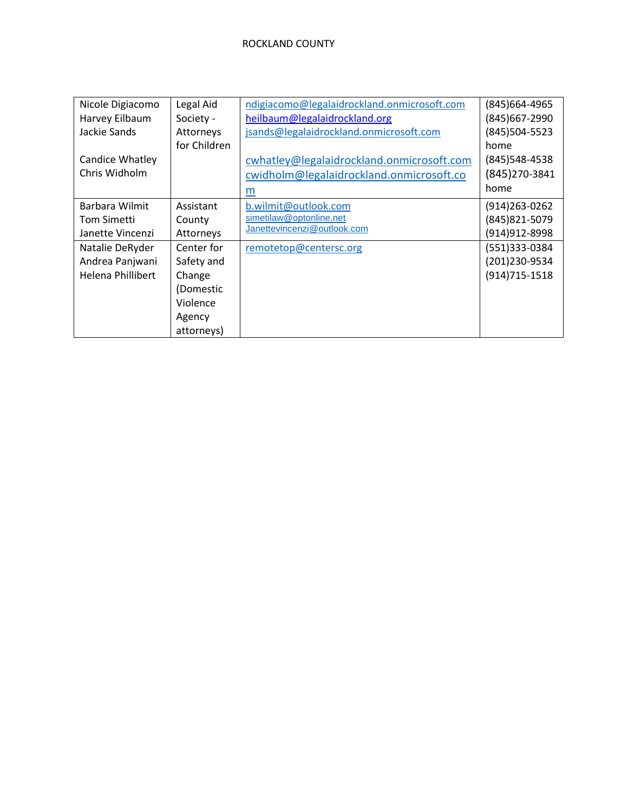| Nicole Digiacomo  | Legal Aid    | ndigiacomo@legalaidrockland.onmicrosoft.com | (845)664-4965    |
|-------------------|--------------|---------------------------------------------|------------------|
| Harvey Eilbaum    | Society -    | heilbaum@legalaidrockland.org               | (845) 667-2990   |
| Jackie Sands      | Attorneys    | jsands@legalaidrockland.onmicrosoft.com     | (845)504-5523    |
|                   | for Children |                                             | home             |
| Candice Whatley   |              | cwhatley@legalaidrockland.onmicrosoft.com   | (845) 548-4538   |
| Chris Widholm     |              | cwidholm@legalaidrockland.onmicrosoft.co    | (845) 270-3841   |
|                   |              | m                                           | home             |
| Barbara Wilmit    | Assistant    | b.wilmit@outlook.com                        | (914) 263 - 0262 |
| Tom Simetti       | County       | simetilaw@optonline.net                     | (845) 821-5079   |
| Janette Vincenzi  | Attorneys    | Janettevincenzi@outlook.com                 | (914) 912-8998   |
| Natalie DeRyder   | Center for   | remotetop@centersc.org                      | (551)333-0384    |
| Andrea Panjwani   | Safety and   |                                             | (201)230-9534    |
| Helena Phillibert | Change       |                                             | (914) 715-1518   |
|                   | (Domestic    |                                             |                  |
|                   | Violence     |                                             |                  |
|                   | Agency       |                                             |                  |
|                   | attorneys)   |                                             |                  |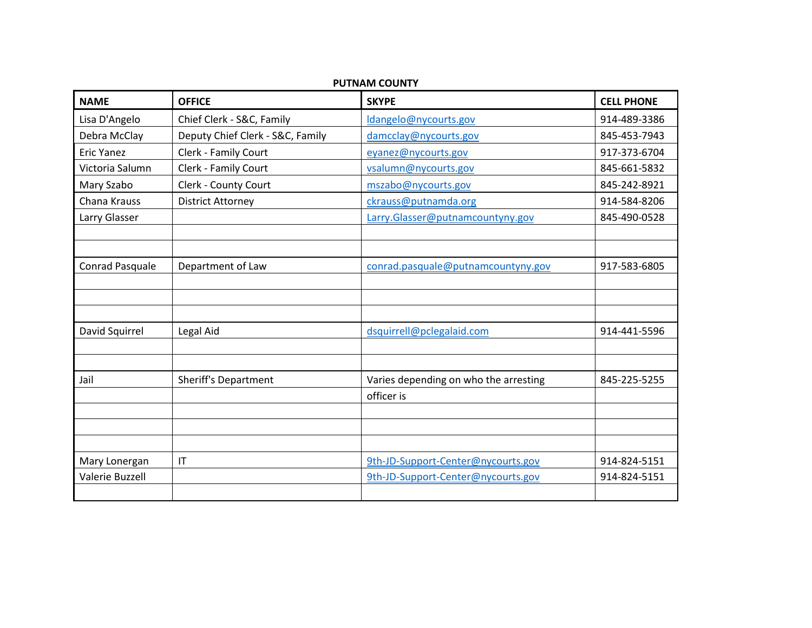| <b>NAME</b>       | <b>OFFICE</b>                    | <b>SKYPE</b>                          | <b>CELL PHONE</b> |
|-------------------|----------------------------------|---------------------------------------|-------------------|
| Lisa D'Angelo     | Chief Clerk - S&C, Family        | Idangelo@nycourts.gov                 | 914-489-3386      |
| Debra McClay      | Deputy Chief Clerk - S&C, Family | damcclay@nycourts.gov                 | 845-453-7943      |
| <b>Eric Yanez</b> | Clerk - Family Court             | eyanez@nycourts.gov                   | 917-373-6704      |
| Victoria Salumn   | Clerk - Family Court             | vsalumn@nycourts.gov                  | 845-661-5832      |
| Mary Szabo        | Clerk - County Court             | mszabo@nycourts.gov                   | 845-242-8921      |
| Chana Krauss      | <b>District Attorney</b>         | ckrauss@putnamda.org                  | 914-584-8206      |
| Larry Glasser     |                                  | Larry.Glasser@putnamcountyny.gov      | 845-490-0528      |
|                   |                                  |                                       |                   |
|                   |                                  |                                       |                   |
| Conrad Pasquale   | Department of Law                | conrad.pasquale@putnamcountyny.gov    | 917-583-6805      |
|                   |                                  |                                       |                   |
|                   |                                  |                                       |                   |
|                   |                                  |                                       |                   |
| David Squirrel    | Legal Aid                        | dsquirrell@pclegalaid.com             | 914-441-5596      |
|                   |                                  |                                       |                   |
|                   |                                  |                                       |                   |
| Jail              | <b>Sheriff's Department</b>      | Varies depending on who the arresting | 845-225-5255      |
|                   |                                  | officer is                            |                   |
|                   |                                  |                                       |                   |
|                   |                                  |                                       |                   |
|                   |                                  |                                       |                   |
| Mary Lonergan     | $\mathsf{I}\mathsf{T}$           | 9th-JD-Support-Center@nycourts.gov    | 914-824-5151      |
| Valerie Buzzell   |                                  | 9th-JD-Support-Center@nycourts.gov    | 914-824-5151      |
|                   |                                  |                                       |                   |

#### **PUTNAM COUNTY**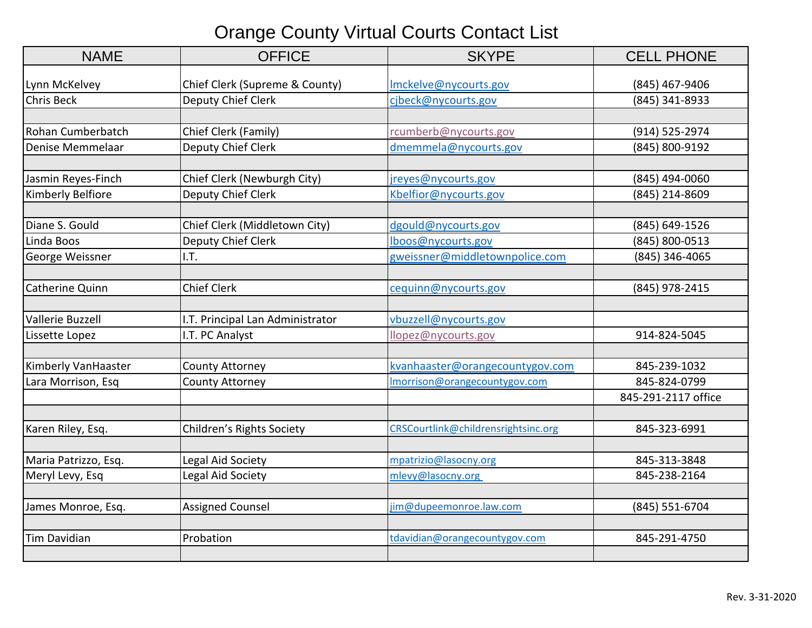# Orange County Virtual Courts Contact List

| <b>NAME</b>          | <b>OFFICE</b>                    | <b>SKYPE</b>                        | <b>CELL PHONE</b>   |
|----------------------|----------------------------------|-------------------------------------|---------------------|
| Lynn McKelvey        | Chief Clerk (Supreme & County)   | Imckelve@nycourts.gov               | (845) 467-9406      |
| Chris Beck           | Deputy Chief Clerk               | cjbeck@nycourts.gov                 | (845) 341-8933      |
|                      |                                  |                                     |                     |
| Rohan Cumberbatch    | Chief Clerk (Family)             | rcumberb@nycourts.gov               | (914) 525-2974      |
| Denise Memmelaar     | Deputy Chief Clerk               | dmemmela@nycourts.gov               | (845) 800-9192      |
|                      |                                  |                                     |                     |
| Jasmin Reyes-Finch   | Chief Clerk (Newburgh City)      | jreyes@nycourts.gov                 | (845) 494-0060      |
| Kimberly Belfiore    | Deputy Chief Clerk               | Kbelfior@nycourts.gov               | (845) 214-8609      |
|                      |                                  |                                     |                     |
| Diane S. Gould       | Chief Clerk (Middletown City)    | dgould@nycourts.gov                 | (845) 649-1526      |
| Linda Boos           | Deputy Chief Clerk               | lboos@nycourts.gov                  | (845) 800-0513      |
| George Weissner      | I.T.                             | gweissner@middletownpolice.com      | (845) 346-4065      |
|                      |                                  |                                     |                     |
| Catherine Quinn      | <b>Chief Clerk</b>               | cequinn@nycourts.gov                | (845) 978-2415      |
|                      |                                  |                                     |                     |
| Vallerie Buzzell     | I.T. Principal Lan Administrator | vbuzzell@nycourts.gov               |                     |
| Lissette Lopez       | I.T. PC Analyst                  | llopez@nycourts.gov                 | 914-824-5045        |
|                      |                                  |                                     |                     |
| Kimberly VanHaaster  | <b>County Attorney</b>           | kvanhaaster@orangecountygov.com     | 845-239-1032        |
| Lara Morrison, Esq   | <b>County Attorney</b>           | Imorrison@orangecountygov.com       | 845-824-0799        |
|                      |                                  |                                     | 845-291-2117 office |
|                      |                                  |                                     |                     |
| Karen Riley, Esq.    | Children's Rights Society        | CRSCourtlink@childrensrightsinc.org | 845-323-6991        |
|                      |                                  |                                     |                     |
| Maria Patrizzo, Esq. | Legal Aid Society                | mpatrizio@lasocny.org               | 845-313-3848        |
| Meryl Levy, Esq      | Legal Aid Society                | mlevy@lasocny.org                   | 845-238-2164        |
|                      |                                  |                                     |                     |
| James Monroe, Esq.   | <b>Assigned Counsel</b>          | jim@dupeemonroe.law.com             | (845) 551-6704      |
|                      |                                  |                                     |                     |
| <b>Tim Davidian</b>  | Probation                        | tdavidian@orangecountygov.com       | 845-291-4750        |
|                      |                                  |                                     |                     |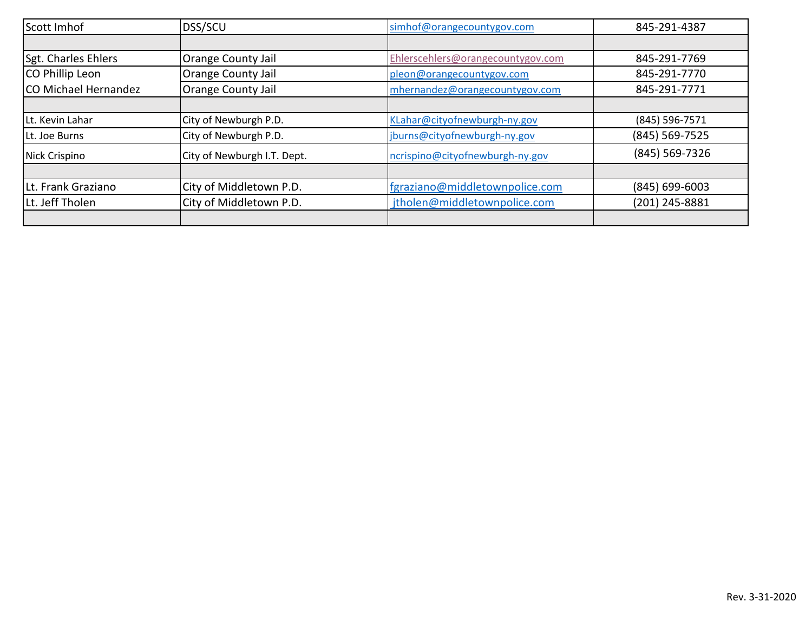| Scott Imhof                 | <b>DSS/SCU</b>              | simhof@orangecountygov.com        | 845-291-4387       |
|-----------------------------|-----------------------------|-----------------------------------|--------------------|
|                             |                             |                                   |                    |
| Sgt. Charles Ehlers         | Orange County Jail          | Ehlerscehlers@orangecountygov.com | 845-291-7769       |
| CO Phillip Leon             | Orange County Jail          | pleon@orangecountygov.com         | 845-291-7770       |
| <b>CO Michael Hernandez</b> | Orange County Jail          | mhernandez@orangecountygov.com    | 845-291-7771       |
|                             |                             |                                   |                    |
| Lt. Kevin Lahar             | City of Newburgh P.D.       | KLahar@cityofnewburgh-ny.gov      | (845) 596-7571     |
| Lt. Joe Burns               | City of Newburgh P.D.       | jburns@cityofnewburgh-ny.gov      | (845) 569-7525     |
| Nick Crispino               | City of Newburgh I.T. Dept. | ncrispino@cityofnewburgh-ny.gov   | (845) 569-7326     |
|                             |                             |                                   |                    |
| Lt. Frank Graziano          | City of Middletown P.D.     | fgraziano@middletownpolice.com    | $(845) 699 - 6003$ |
| Lt. Jeff Tholen             | City of Middletown P.D.     | jtholen@middletownpolice.com      | (201) 245-8881     |
|                             |                             |                                   |                    |